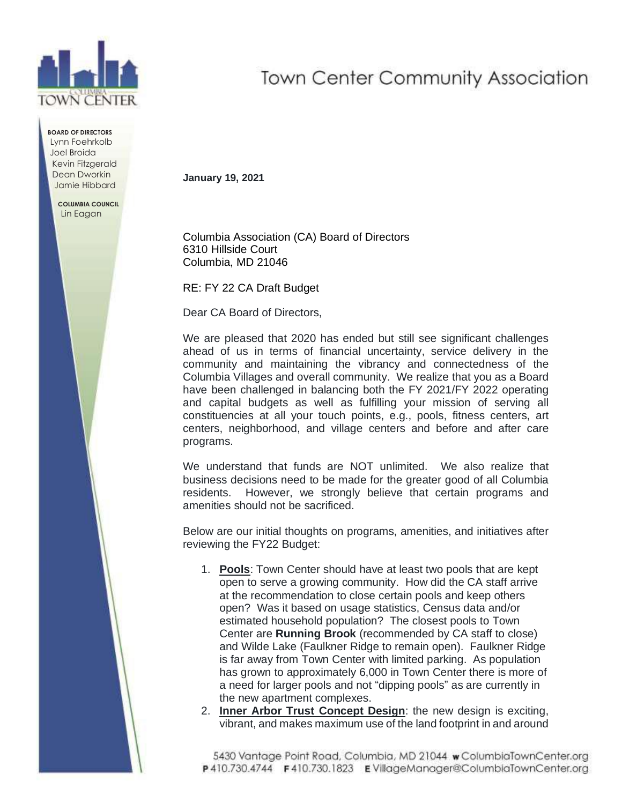

**BOARD OF DIRECTORS** Lynn Foehrkolb Joel Broida Kevin Fitzgerald Dean Dworkin Jamie Hibbard

> **COLUMBIA COUNCIL** Lin Eagan

## **Town Center Community Association**

**January 19, 2021**

Columbia Association (CA) Board of Directors 6310 Hillside Court Columbia, MD 21046

RE: FY 22 CA Draft Budget

Dear CA Board of Directors,

We are pleased that 2020 has ended but still see significant challenges ahead of us in terms of financial uncertainty, service delivery in the community and maintaining the vibrancy and connectedness of the Columbia Villages and overall community. We realize that you as a Board have been challenged in balancing both the FY 2021/FY 2022 operating and capital budgets as well as fulfilling your mission of serving all constituencies at all your touch points, e.g., pools, fitness centers, art centers, neighborhood, and village centers and before and after care programs.

We understand that funds are NOT unlimited. We also realize that business decisions need to be made for the greater good of all Columbia residents. However, we strongly believe that certain programs and amenities should not be sacrificed.

Below are our initial thoughts on programs, amenities, and initiatives after reviewing the FY22 Budget:

- 1. **Pools**: Town Center should have at least two pools that are kept open to serve a growing community. How did the CA staff arrive at the recommendation to close certain pools and keep others open? Was it based on usage statistics, Census data and/or estimated household population? The closest pools to Town Center are **Running Brook** (recommended by CA staff to close) and Wilde Lake (Faulkner Ridge to remain open). Faulkner Ridge is far away from Town Center with limited parking. As population has grown to approximately 6,000 in Town Center there is more of a need for larger pools and not "dipping pools" as are currently in the new apartment complexes.
- 2. **Inner Arbor Trust Concept Design**: the new design is exciting, vibrant, and makes maximum use of the land footprint in and around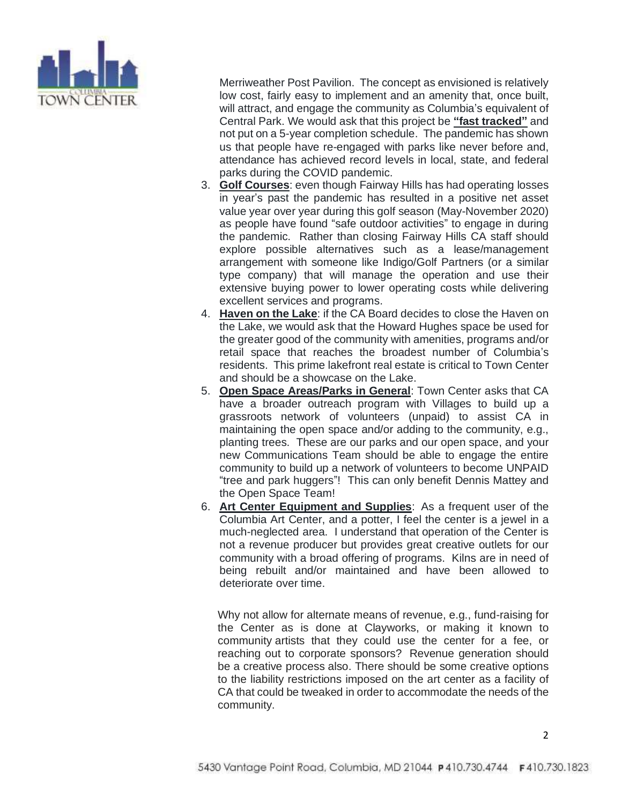

Merriweather Post Pavilion. The concept as envisioned is relatively low cost, fairly easy to implement and an amenity that, once built, will attract, and engage the community as Columbia's equivalent of Central Park. We would ask that this project be **"fast tracked"** and not put on a 5-year completion schedule. The pandemic has shown us that people have re-engaged with parks like never before and, attendance has achieved record levels in local, state, and federal parks during the COVID pandemic.

- 3. **Golf Courses**: even though Fairway Hills has had operating losses in year's past the pandemic has resulted in a positive net asset value year over year during this golf season (May-November 2020) as people have found "safe outdoor activities" to engage in during the pandemic. Rather than closing Fairway Hills CA staff should explore possible alternatives such as a lease/management arrangement with someone like Indigo/Golf Partners (or a similar type company) that will manage the operation and use their extensive buying power to lower operating costs while delivering excellent services and programs.
- 4. **Haven on the Lake**: if the CA Board decides to close the Haven on the Lake, we would ask that the Howard Hughes space be used for the greater good of the community with amenities, programs and/or retail space that reaches the broadest number of Columbia's residents. This prime lakefront real estate is critical to Town Center and should be a showcase on the Lake.
- 5. **Open Space Areas/Parks in General**: Town Center asks that CA have a broader outreach program with Villages to build up a grassroots network of volunteers (unpaid) to assist CA in maintaining the open space and/or adding to the community, e.g., planting trees. These are our parks and our open space, and your new Communications Team should be able to engage the entire community to build up a network of volunteers to become UNPAID "tree and park huggers"! This can only benefit Dennis Mattey and the Open Space Team!
- 6. **Art Center Equipment and Supplies**: As a frequent user of the Columbia Art Center, and a potter, I feel the center is a jewel in a much-neglected area. I understand that operation of the Center is not a revenue producer but provides great creative outlets for our community with a broad offering of programs. Kilns are in need of being rebuilt and/or maintained and have been allowed to deteriorate over time.

Why not allow for alternate means of revenue, e.g., fund-raising for the Center as is done at Clayworks, or making it known to community artists that they could use the center for a fee, or reaching out to corporate sponsors? Revenue generation should be a creative process also. There should be some creative options to the liability restrictions imposed on the art center as a facility of CA that could be tweaked in order to accommodate the needs of the community.